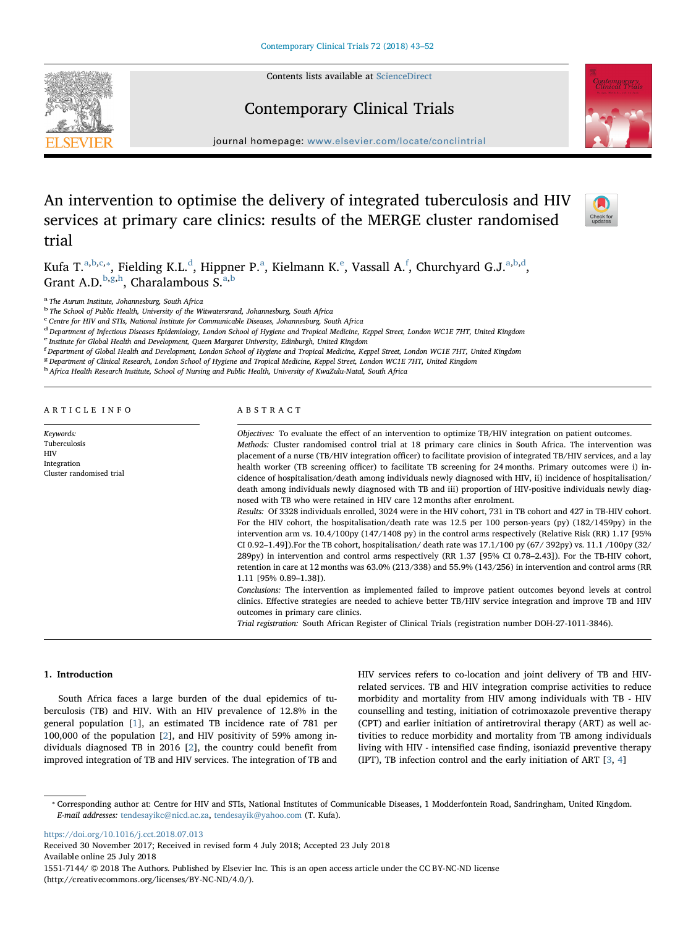Contents lists available at [ScienceDirect](http://www.sciencedirect.com/science/journal/15517144)

# Contemporary Clinical Trials

journal homepage: [www.elsevier.com/locate/conclintrial](https://www.elsevier.com/locate/conclintrial)

# An intervention to optimise the delivery of integrated tuberculosis and HIV services at primary care clinics: results of the MERGE cluster randomised trial



Kuf[a](#page-0-0) T.<sup>a[,b,](#page-0-1)[c](#page-0-2),</sup>\*, Fiel[d](#page-0-4)ing K.L.<sup>d</sup>, Hippn[e](#page-0-5)r P.<sup>a</sup>, Kielmann K.<sup>e</sup>, Vassall A.<sup>[f](#page-0-6)</sup>, Churchyard G.J.<sup>a,b,d</sup>, Grant A.D.<sup>[b](#page-0-1),[g,](#page-0-7)[h](#page-0-8)</sup>, Charalambous S.<sup>[a,](#page-0-0)b</sup>

<span id="page-0-0"></span><sup>a</sup> The Aurum Institute, Johannesburg, South Africa

<span id="page-0-1"></span><sup>b</sup> The School of Public Health, University of the Witwatersrand, Johannesburg, South Africa

<span id="page-0-2"></span><sup>c</sup> Centre for HIV and STIs, National Institute for Communicable Diseases, Johannesburg, South Africa

<span id="page-0-4"></span><sup>d</sup> Department of Infectious Diseases Epidemiology, London School of Hygiene and Tropical Medicine, Keppel Street, London WC1E 7HT, United Kingdom

<span id="page-0-5"></span><sup>e</sup> Institute for Global Health and Development, Queen Margaret University, Edinburgh, United Kingdom

<span id="page-0-6"></span>f Department of Global Health and Development, London School of Hygiene and Tropical Medicine, Keppel Street, London WC1E 7HT, United Kingdom

<span id="page-0-7"></span><sup>8</sup> Department of Clinical Research, London School of Hygiene and Tropical Medicine, Keppel Street, London WC1E 7HT, United Kingdom

<span id="page-0-8"></span>h Africa Health Research Institute, School of Nursing and Public Health, University of KwaZulu-Natal, South Africa

| ARTICLE INFO                                                                | ABSTRACT                                                                                                                                                                                                                                                                                                                                                                                                                                                                                                                                                                                                                                                                                                                                                                       |  |  |  |
|-----------------------------------------------------------------------------|--------------------------------------------------------------------------------------------------------------------------------------------------------------------------------------------------------------------------------------------------------------------------------------------------------------------------------------------------------------------------------------------------------------------------------------------------------------------------------------------------------------------------------------------------------------------------------------------------------------------------------------------------------------------------------------------------------------------------------------------------------------------------------|--|--|--|
| Keywords:<br>Tuberculosis<br>HIV<br>Integration<br>Cluster randomised trial | <i>Objectives:</i> To evaluate the effect of an intervention to optimize TB/HIV integration on patient outcomes.<br>Methods: Cluster randomised control trial at 18 primary care clinics in South Africa. The intervention was<br>placement of a nurse (TB/HIV integration officer) to facilitate provision of integrated TB/HIV services, and a lay<br>health worker (TB screening officer) to facilitate TB screening for 24 months. Primary outcomes were i) in-<br>cidence of hospitalisation/death among individuals newly diagnosed with HIV, ii) incidence of hospitalisation/<br>death among individuals newly diagnosed with TB and iii) proportion of HIV-positive individuals newly diag-<br>nosed with TB who were retained in HIV care 12 months after enrolment. |  |  |  |
|                                                                             | Results: Of 3328 individuals enrolled, 3024 were in the HIV cohort, 731 in TB cohort and 427 in TB-HIV cohort.<br>For the HIV cohort, the hospitalisation/death rate was 12.5 per 100 person-years (py) $(182/1459py)$ in the<br>intervention arm vs. $10.4/100py$ (147/1408 py) in the control arms respectively (Relative Risk (RR) 1.17 [95%<br>CI 0.92–1.49]). For the TB cohort, hospitalisation/death rate was $17.1/100$ py $(67/392$ py) vs. $11.1/100$ py $(32/100)$<br>289py) in intervention and control arms respectively (RR 1.37 [95% CI 0.78–2.43]). For the TB-HIV cohort,<br>retention in care at 12 months was 63.0% (213/338) and 55.9% (143/256) in intervention and control arms (RR<br>$1.11$ [95% 0.89-1.38]).                                          |  |  |  |
|                                                                             | Conclusions: The intervention as implemented failed to improve patient outcomes beyond levels at control<br>clinics. Effective strategies are needed to achieve better TB/HIV service integration and improve TB and HIV<br>outcomes in primary care clinics.<br>Trial registration: South African Register of Clinical Trials (registration number DOH-27-1011-3846).                                                                                                                                                                                                                                                                                                                                                                                                         |  |  |  |

# 1. Introduction

South Africa faces a large burden of the dual epidemics of tuberculosis (TB) and HIV. With an HIV prevalence of 12.8% in the general population [[1](#page-8-0)], an estimated TB incidence rate of 781 per 100,000 of the population [[2](#page-8-1)], and HIV positivity of 59% among individuals diagnosed TB in 2016 [\[2\]](#page-8-1), the country could benefit from improved integration of TB and HIV services. The integration of TB and HIV services refers to co-location and joint delivery of TB and HIVrelated services. TB and HIV integration comprise activities to reduce morbidity and mortality from HIV among individuals with TB - HIV counselling and testing, initiation of cotrimoxazole preventive therapy (CPT) and earlier initiation of antiretroviral therapy (ART) as well activities to reduce morbidity and mortality from TB among individuals living with HIV - intensified case finding, isoniazid preventive therapy (IPT), TB infection control and the early initiation of ART [\[3,](#page-8-2) [4](#page-8-3)]

<https://doi.org/10.1016/j.cct.2018.07.013>

Received 30 November 2017; Received in revised form 4 July 2018; Accepted 23 July 2018 Available online 25 July 2018

1551-7144/ © 2018 The Authors. Published by Elsevier Inc. This is an open access article under the CC BY-NC-ND license (http://creativecommons.org/licenses/BY-NC-ND/4.0/).



<span id="page-0-3"></span><sup>⁎</sup> Corresponding author at: Centre for HIV and STIs, National Institutes of Communicable Diseases, 1 Modderfontein Road, Sandringham, United Kingdom. E-mail addresses: [tendesayikc@nicd.ac.za,](mailto:tendesayikc@nicd.ac.za) [tendesayik@yahoo.com](mailto:tendesayik@yahoo.com) (T. Kufa).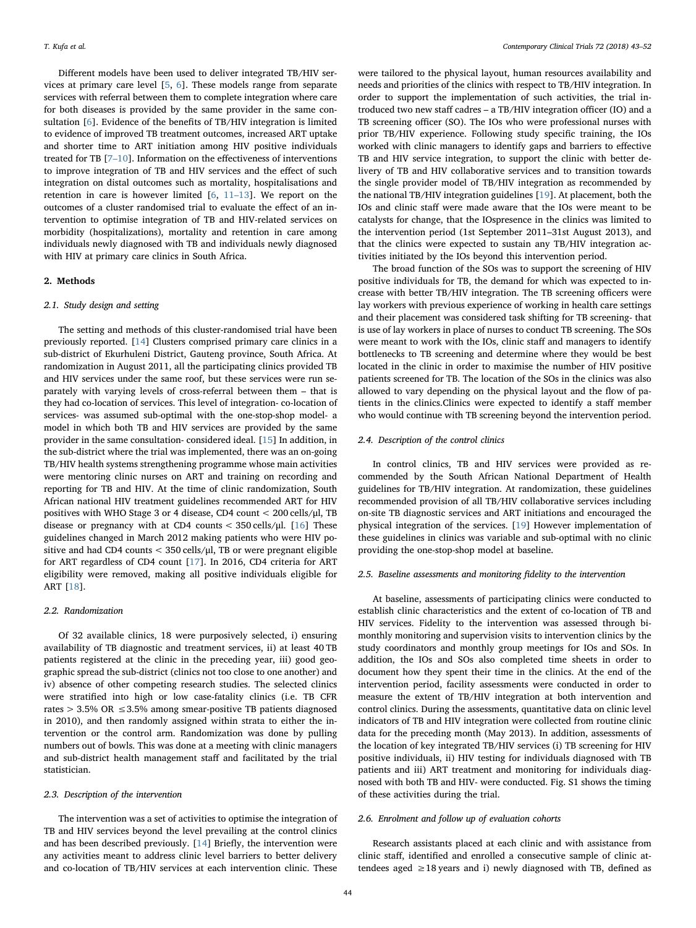Different models have been used to deliver integrated TB/HIV services at primary care level [\[5,](#page-8-4) [6\]](#page-9-0). These models range from separate services with referral between them to complete integration where care for both diseases is provided by the same provider in the same consultation [\[6\]](#page-9-0). Evidence of the benefits of TB/HIV integration is limited to evidence of improved TB treatment outcomes, increased ART uptake and shorter time to ART initiation among HIV positive individuals treated for TB [7–[10\]](#page-9-1). Information on the effectiveness of interventions to improve integration of TB and HIV services and the effect of such integration on distal outcomes such as mortality, hospitalisations and retention in care is however limited  $[6, 11-13]$  $[6, 11-13]$  $[6, 11-13]$  $[6, 11-13]$  $[6, 11-13]$ . We report on the outcomes of a cluster randomised trial to evaluate the effect of an intervention to optimise integration of TB and HIV-related services on morbidity (hospitalizations), mortality and retention in care among individuals newly diagnosed with TB and individuals newly diagnosed with HIV at primary care clinics in South Africa.

# 2. Methods

## 2.1. Study design and setting

The setting and methods of this cluster-randomised trial have been previously reported. [[14\]](#page-9-3) Clusters comprised primary care clinics in a sub-district of Ekurhuleni District, Gauteng province, South Africa. At randomization in August 2011, all the participating clinics provided TB and HIV services under the same roof, but these services were run separately with varying levels of cross-referral between them – that is they had co-location of services. This level of integration- co-location of services- was assumed sub-optimal with the one-stop-shop model- a model in which both TB and HIV services are provided by the same provider in the same consultation- considered ideal. [[15\]](#page-9-4) In addition, in the sub-district where the trial was implemented, there was an on-going TB/HIV health systems strengthening programme whose main activities were mentoring clinic nurses on ART and training on recording and reporting for TB and HIV. At the time of clinic randomization, South African national HIV treatment guidelines recommended ART for HIV positives with WHO Stage 3 or 4 disease, CD4 count < 200 cells/μl, TB disease or pregnancy with at CD4 counts < 350 cells/μl. [\[16](#page-9-5)] These guidelines changed in March 2012 making patients who were HIV positive and had CD4 counts < 350 cells/μl, TB or were pregnant eligible for ART regardless of CD4 count [\[17](#page-9-6)]. In 2016, CD4 criteria for ART eligibility were removed, making all positive individuals eligible for ART [[18\]](#page-9-7).

# 2.2. Randomization

Of 32 available clinics, 18 were purposively selected, i) ensuring availability of TB diagnostic and treatment services, ii) at least 40 TB patients registered at the clinic in the preceding year, iii) good geographic spread the sub-district (clinics not too close to one another) and iv) absence of other competing research studies. The selected clinics were stratified into high or low case-fatality clinics (i.e. TB CFR rates > 3.5% OR ≤3.5% among smear-positive TB patients diagnosed in 2010), and then randomly assigned within strata to either the intervention or the control arm. Randomization was done by pulling numbers out of bowls. This was done at a meeting with clinic managers and sub-district health management staff and facilitated by the trial statistician.

## 2.3. Description of the intervention

The intervention was a set of activities to optimise the integration of TB and HIV services beyond the level prevailing at the control clinics and has been described previously. [\[14](#page-9-3)] Briefly, the intervention were any activities meant to address clinic level barriers to better delivery and co-location of TB/HIV services at each intervention clinic. These

were tailored to the physical layout, human resources availability and needs and priorities of the clinics with respect to TB/HIV integration. In order to support the implementation of such activities, the trial introduced two new staff cadres – a TB/HIV integration officer (IO) and a TB screening officer (SO). The IOs who were professional nurses with prior TB/HIV experience. Following study specific training, the IOs worked with clinic managers to identify gaps and barriers to effective TB and HIV service integration, to support the clinic with better delivery of TB and HIV collaborative services and to transition towards the single provider model of TB/HIV integration as recommended by the national TB/HIV integration guidelines [[19\]](#page-9-8). At placement, both the IOs and clinic staff were made aware that the IOs were meant to be catalysts for change, that the IOspresence in the clinics was limited to the intervention period (1st September 2011–31st August 2013), and that the clinics were expected to sustain any TB/HIV integration activities initiated by the IOs beyond this intervention period.

The broad function of the SOs was to support the screening of HIV positive individuals for TB, the demand for which was expected to increase with better TB/HIV integration. The TB screening officers were lay workers with previous experience of working in health care settings and their placement was considered task shifting for TB screening- that is use of lay workers in place of nurses to conduct TB screening. The SOs were meant to work with the IOs, clinic staff and managers to identify bottlenecks to TB screening and determine where they would be best located in the clinic in order to maximise the number of HIV positive patients screened for TB. The location of the SOs in the clinics was also allowed to vary depending on the physical layout and the flow of patients in the clinics.Clinics were expected to identify a staff member who would continue with TB screening beyond the intervention period.

# 2.4. Description of the control clinics

In control clinics, TB and HIV services were provided as recommended by the South African National Department of Health guidelines for TB/HIV integration. At randomization, these guidelines recommended provision of all TB/HIV collaborative services including on-site TB diagnostic services and ART initiations and encouraged the physical integration of the services. [\[19](#page-9-8)] However implementation of these guidelines in clinics was variable and sub-optimal with no clinic providing the one-stop-shop model at baseline.

## 2.5. Baseline assessments and monitoring fidelity to the intervention

At baseline, assessments of participating clinics were conducted to establish clinic characteristics and the extent of co-location of TB and HIV services. Fidelity to the intervention was assessed through bimonthly monitoring and supervision visits to intervention clinics by the study coordinators and monthly group meetings for IOs and SOs. In addition, the IOs and SOs also completed time sheets in order to document how they spent their time in the clinics. At the end of the intervention period, facility assessments were conducted in order to measure the extent of TB/HIV integration at both intervention and control clinics. During the assessments, quantitative data on clinic level indicators of TB and HIV integration were collected from routine clinic data for the preceding month (May 2013). In addition, assessments of the location of key integrated TB/HIV services (i) TB screening for HIV positive individuals, ii) HIV testing for individuals diagnosed with TB patients and iii) ART treatment and monitoring for individuals diagnosed with both TB and HIV- were conducted. Fig. S1 shows the timing of these activities during the trial.

### 2.6. Enrolment and follow up of evaluation cohorts

Research assistants placed at each clinic and with assistance from clinic staff, identified and enrolled a consecutive sample of clinic attendees aged  $\geq$  18 years and i) newly diagnosed with TB, defined as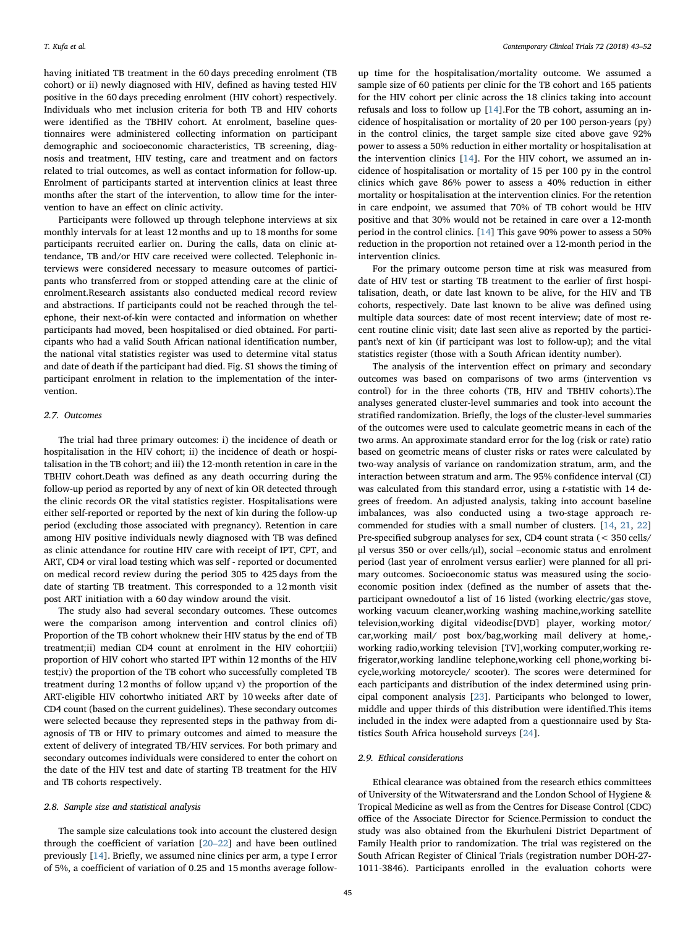having initiated TB treatment in the 60 days preceding enrolment (TB cohort) or ii) newly diagnosed with HIV, defined as having tested HIV positive in the 60 days preceding enrolment (HIV cohort) respectively. Individuals who met inclusion criteria for both TB and HIV cohorts were identified as the TBHIV cohort. At enrolment, baseline questionnaires were administered collecting information on participant demographic and socioeconomic characteristics, TB screening, diagnosis and treatment, HIV testing, care and treatment and on factors related to trial outcomes, as well as contact information for follow-up. Enrolment of participants started at intervention clinics at least three months after the start of the intervention, to allow time for the intervention to have an effect on clinic activity.

Participants were followed up through telephone interviews at six monthly intervals for at least 12 months and up to 18 months for some participants recruited earlier on. During the calls, data on clinic attendance, TB and/or HIV care received were collected. Telephonic interviews were considered necessary to measure outcomes of participants who transferred from or stopped attending care at the clinic of enrolment.Research assistants also conducted medical record review and abstractions. If participants could not be reached through the telephone, their next-of-kin were contacted and information on whether participants had moved, been hospitalised or died obtained. For participants who had a valid South African national identification number, the national vital statistics register was used to determine vital status and date of death if the participant had died. Fig. S1 shows the timing of participant enrolment in relation to the implementation of the intervention.

## 2.7. Outcomes

The trial had three primary outcomes: i) the incidence of death or hospitalisation in the HIV cohort; ii) the incidence of death or hospitalisation in the TB cohort; and iii) the 12-month retention in care in the TBHIV cohort.Death was defined as any death occurring during the follow-up period as reported by any of next of kin OR detected through the clinic records OR the vital statistics register. Hospitalisations were either self-reported or reported by the next of kin during the follow-up period (excluding those associated with pregnancy). Retention in care among HIV positive individuals newly diagnosed with TB was defined as clinic attendance for routine HIV care with receipt of IPT, CPT, and ART, CD4 or viral load testing which was self - reported or documented on medical record review during the period 305 to 425 days from the date of starting TB treatment. This corresponded to a 12 month visit post ART initiation with a 60 day window around the visit.

The study also had several secondary outcomes. These outcomes were the comparison among intervention and control clinics ofi) Proportion of the TB cohort whoknew their HIV status by the end of TB treatment;ii) median CD4 count at enrolment in the HIV cohort;iii) proportion of HIV cohort who started IPT within 12 months of the HIV test;iv) the proportion of the TB cohort who successfully completed TB treatment during 12 months of follow up;and v) the proportion of the ART-eligible HIV cohortwho initiated ART by 10 weeks after date of CD4 count (based on the current guidelines). These secondary outcomes were selected because they represented steps in the pathway from diagnosis of TB or HIV to primary outcomes and aimed to measure the extent of delivery of integrated TB/HIV services. For both primary and secondary outcomes individuals were considered to enter the cohort on the date of the HIV test and date of starting TB treatment for the HIV and TB cohorts respectively.

### 2.8. Sample size and statistical analysis

The sample size calculations took into account the clustered design through the coefficient of variation [\[20](#page-9-9)–22] and have been outlined previously [[14\]](#page-9-3). Briefly, we assumed nine clinics per arm, a type I error of 5%, a coefficient of variation of 0.25 and 15 months average follow-

up time for the hospitalisation/mortality outcome. We assumed a sample size of 60 patients per clinic for the TB cohort and 165 patients for the HIV cohort per clinic across the 18 clinics taking into account refusals and loss to follow up [[14\]](#page-9-3).For the TB cohort, assuming an incidence of hospitalisation or mortality of 20 per 100 person-years (py) in the control clinics, the target sample size cited above gave 92% power to assess a 50% reduction in either mortality or hospitalisation at the intervention clinics [[14\]](#page-9-3). For the HIV cohort, we assumed an incidence of hospitalisation or mortality of 15 per 100 py in the control clinics which gave 86% power to assess a 40% reduction in either mortality or hospitalisation at the intervention clinics. For the retention in care endpoint, we assumed that 70% of TB cohort would be HIV positive and that 30% would not be retained in care over a 12-month period in the control clinics. [\[14](#page-9-3)] This gave 90% power to assess a 50% reduction in the proportion not retained over a 12-month period in the intervention clinics.

For the primary outcome person time at risk was measured from date of HIV test or starting TB treatment to the earlier of first hospitalisation, death, or date last known to be alive, for the HIV and TB cohorts, respectively. Date last known to be alive was defined using multiple data sources: date of most recent interview; date of most recent routine clinic visit; date last seen alive as reported by the participant's next of kin (if participant was lost to follow-up); and the vital statistics register (those with a South African identity number).

The analysis of the intervention effect on primary and secondary outcomes was based on comparisons of two arms (intervention vs control) for in the three cohorts (TB, HIV and TBHIV cohorts).The analyses generated cluster-level summaries and took into account the stratified randomization. Briefly, the logs of the cluster-level summaries of the outcomes were used to calculate geometric means in each of the two arms. An approximate standard error for the log (risk or rate) ratio based on geometric means of cluster risks or rates were calculated by two-way analysis of variance on randomization stratum, arm, and the interaction between stratum and arm. The 95% confidence interval (CI) was calculated from this standard error, using a t-statistic with 14 degrees of freedom. An adjusted analysis, taking into account baseline imbalances, was also conducted using a two-stage approach recommended for studies with a small number of clusters. [[14,](#page-9-3) [21](#page-9-10), [22](#page-9-11)] Pre-specified subgroup analyses for sex, CD4 count strata (< 350 cells/ μl versus 350 or over cells/μl), social –economic status and enrolment period (last year of enrolment versus earlier) were planned for all primary outcomes. Socioeconomic status was measured using the socioeconomic position index (defined as the number of assets that theparticipant ownedoutof a list of 16 listed (working electric/gas stove, working vacuum cleaner,working washing machine,working satellite television,working digital videodisc[DVD] player, working motor/ car,working mail/ post box/bag,working mail delivery at home, working radio,working television [TV],working computer,working refrigerator,working landline telephone,working cell phone,working bicycle,working motorcycle/ scooter). The scores were determined for each participants and distribution of the index determined using principal component analysis [[23\]](#page-9-12). Participants who belonged to lower, middle and upper thirds of this distribution were identified.This items included in the index were adapted from a questionnaire used by Statistics South Africa household surveys [[24\]](#page-9-13).

# 2.9. Ethical considerations

Ethical clearance was obtained from the research ethics committees of University of the Witwatersrand and the London School of Hygiene & Tropical Medicine as well as from the Centres for Disease Control (CDC) office of the Associate Director for Science.Permission to conduct the study was also obtained from the Ekurhuleni District Department of Family Health prior to randomization. The trial was registered on the South African Register of Clinical Trials (registration number DOH-27- 1011-3846). Participants enrolled in the evaluation cohorts were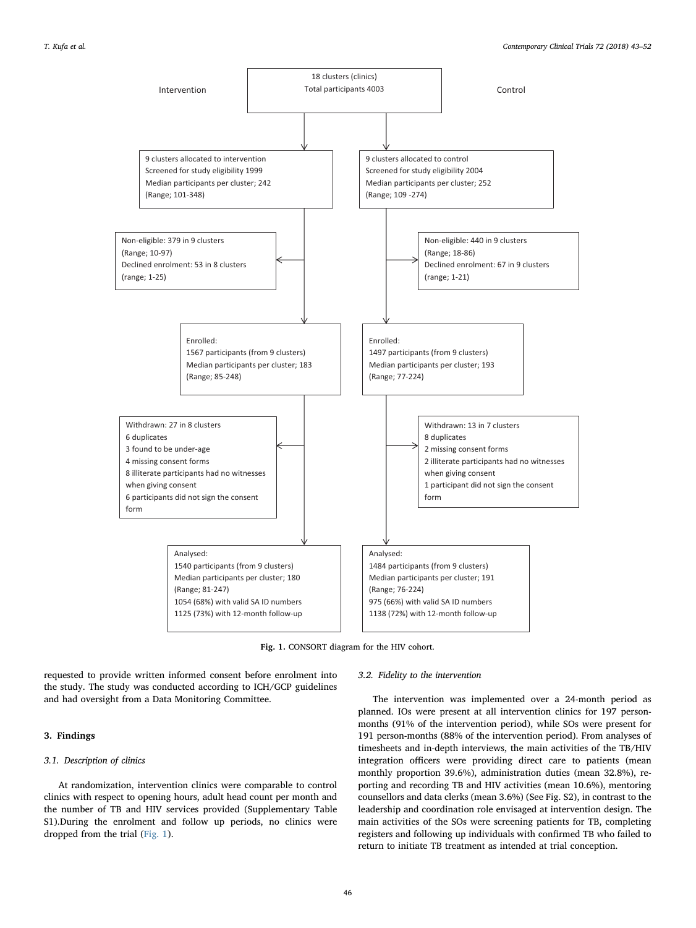<span id="page-3-0"></span>

Fig. 1. CONSORT diagram for the HIV cohort.

requested to provide written informed consent before enrolment into the study. The study was conducted according to ICH/GCP guidelines and had oversight from a Data Monitoring Committee.

# 3. Findings

## 3.1. Description of clinics

At randomization, intervention clinics were comparable to control clinics with respect to opening hours, adult head count per month and the number of TB and HIV services provided (Supplementary Table S1).During the enrolment and follow up periods, no clinics were dropped from the trial [\(Fig. 1](#page-3-0)).

## 3.2. Fidelity to the intervention

The intervention was implemented over a 24-month period as planned. IOs were present at all intervention clinics for 197 personmonths (91% of the intervention period), while SOs were present for 191 person-months (88% of the intervention period). From analyses of timesheets and in-depth interviews, the main activities of the TB/HIV integration officers were providing direct care to patients (mean monthly proportion 39.6%), administration duties (mean 32.8%), reporting and recording TB and HIV activities (mean 10.6%), mentoring counsellors and data clerks (mean 3.6%) (See Fig. S2), in contrast to the leadership and coordination role envisaged at intervention design. The main activities of the SOs were screening patients for TB, completing registers and following up individuals with confirmed TB who failed to return to initiate TB treatment as intended at trial conception.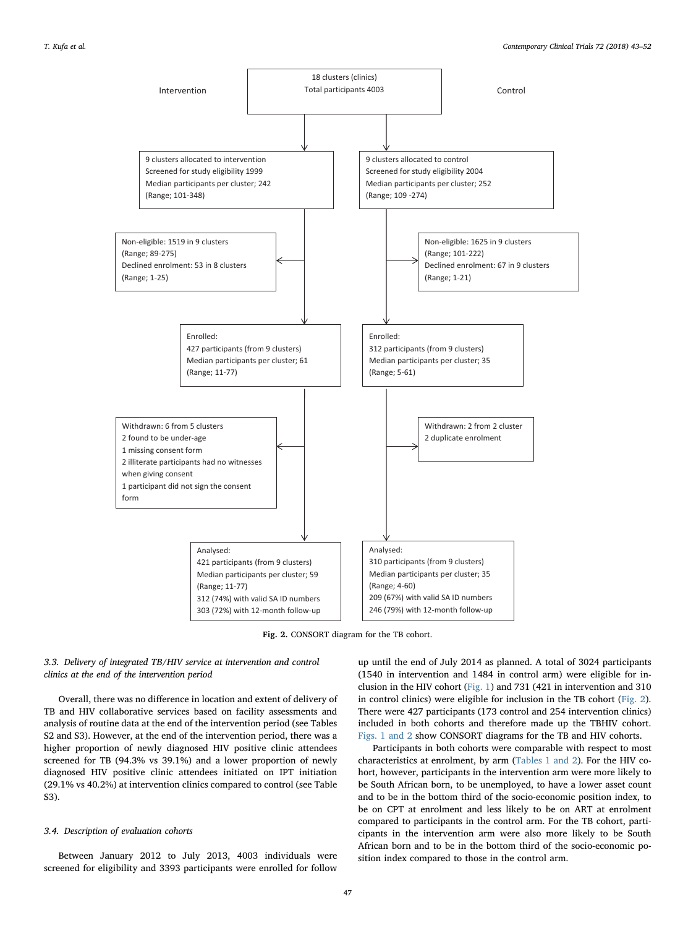<span id="page-4-0"></span>

Fig. 2. CONSORT diagram for the TB cohort.

# 3.3. Delivery of integrated TB/HIV service at intervention and control clinics at the end of the intervention period

Overall, there was no difference in location and extent of delivery of TB and HIV collaborative services based on facility assessments and analysis of routine data at the end of the intervention period (see Tables S2 and S3). However, at the end of the intervention period, there was a higher proportion of newly diagnosed HIV positive clinic attendees screened for TB (94.3% vs 39.1%) and a lower proportion of newly diagnosed HIV positive clinic attendees initiated on IPT initiation (29.1% vs 40.2%) at intervention clinics compared to control (see Table S3).

# 3.4. Description of evaluation cohorts

Between January 2012 to July 2013, 4003 individuals were screened for eligibility and 3393 participants were enrolled for follow

up until the end of July 2014 as planned. A total of 3024 participants (1540 in intervention and 1484 in control arm) were eligible for inclusion in the HIV cohort [\(Fig. 1\)](#page-3-0) and 731 (421 in intervention and 310 in control clinics) were eligible for inclusion in the TB cohort [\(Fig. 2](#page-4-0)). There were 427 participants (173 control and 254 intervention clinics) included in both cohorts and therefore made up the TBHIV cohort. [Figs. 1 and 2](#page-3-0) show CONSORT diagrams for the TB and HIV cohorts.

Participants in both cohorts were comparable with respect to most characteristics at enrolment, by arm [\(Tables 1 and 2](#page-5-0)). For the HIV cohort, however, participants in the intervention arm were more likely to be South African born, to be unemployed, to have a lower asset count and to be in the bottom third of the socio-economic position index, to be on CPT at enrolment and less likely to be on ART at enrolment compared to participants in the control arm. For the TB cohort, participants in the intervention arm were also more likely to be South African born and to be in the bottom third of the socio-economic position index compared to those in the control arm.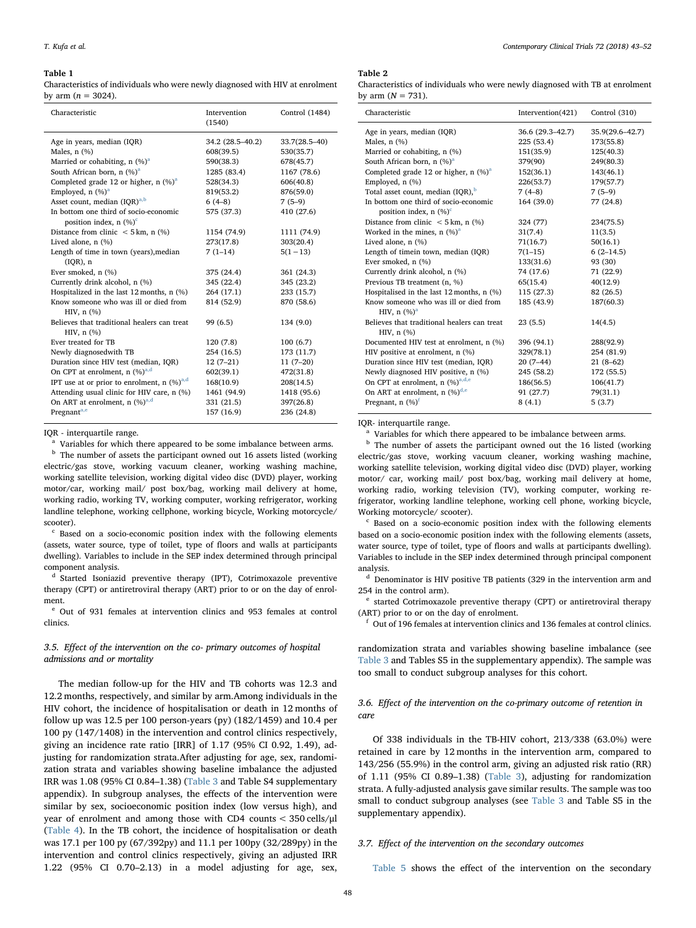#### <span id="page-5-0"></span>Table 1

Characteristics of individuals who were newly diagnosed with HIV at enrolment by arm  $(n = 3024)$ .

| Characteristic                                                                | Intervention<br>(1540) | Control (1484) |
|-------------------------------------------------------------------------------|------------------------|----------------|
| Age in years, median (IQR)                                                    | 34.2 (28.5-40.2)       | 33.7(28.5-40)  |
| Males, $n$ $(\%)$                                                             | 608(39.5)              | 530(35.7)      |
| Married or cohabiting, $n$ (%) <sup>a</sup>                                   | 590(38.3)              | 678(45.7)      |
| South African born, $n$ (%) <sup>a</sup>                                      | 1285 (83.4)            | 1167 (78.6)    |
| Completed grade 12 or higher, $n$ (%) <sup>a</sup>                            | 528(34.3)              | 606(40.8)      |
| Employed, $n$ $(\%)^a$                                                        | 819(53.2)              | 876(59.0)      |
| Asset count, median $(IOR)^{a,b}$                                             | $6(4-8)$               | $7(5-9)$       |
| In bottom one third of socio-economic<br>position index, $n$ (%) <sup>c</sup> | 575 (37.3)             | 410 (27.6)     |
| Distance from clinic $\lt$ 5 km, n (%)                                        | 1154 (74.9)            | 1111 (74.9)    |
| Lived alone, $n$ $(\%)$                                                       | 273(17.8)              | 303(20.4)      |
| Length of time in town (years), median                                        | $7(1-14)$              | $5(1-13)$      |
| (IOR), n                                                                      |                        |                |
| Ever smoked, n (%)                                                            | 375 (24.4)             | 361 (24.3)     |
| Currently drink alcohol, n (%)                                                | 345 (22.4)             | 345 (23.2)     |
| Hospitalized in the last $12$ months, $n$ (%)                                 | 264 (17.1)             | 233 (15.7)     |
| Know someone who was ill or died from                                         | 814 (52.9)             | 870 (58.6)     |
| HIV, $n$ $(\%)$                                                               |                        |                |
| Believes that traditional healers can treat                                   | 99 (6.5)               | 134 (9.0)      |
| HIV, $n$ $(\%)$                                                               |                        |                |
| Ever treated for TB                                                           | 120(7.8)               | 100(6.7)       |
| Newly diagnosedwith TB                                                        | 254 (16.5)             | 173 (11.7)     |
| Duration since HIV test (median, IQR)                                         | 12 (7–21)              | $11(7-20)$     |
| On CPT at enrolment, n $(\%)^{a,d}$                                           | 602(39.1)              | 472(31.8)      |
| IPT use at or prior to enrolment, n $(\%)^{a,d}$                              | 168(10.9)              | 208(14.5)      |
| Attending usual clinic for HIV care, n (%)                                    | 1461 (94.9)            | 1418 (95.6)    |
| On ART at enrolment, n $(\%)^{a,d}$                                           | 331 (21.5)             | 397(26.8)      |
| Pregnant <sup>a,e</sup>                                                       | 157 (16.9)             | 236 (24.8)     |

<span id="page-5-1"></span>IQR - interquartile range.

<sup>1</sup> Variables for which there appeared to be some imbalance between arms.

<sup>b</sup> The number of assets the participant owned out 16 assets listed (working electric/gas stove, working vacuum cleaner, working washing machine, working satellite television, working digital video disc (DVD) player, working motor/car, working mail/ post box/bag, working mail delivery at home, working radio, working TV, working computer, working refrigerator, working landline telephone, working cellphone, working bicycle, Working motorcycle/ scooter).

<span id="page-5-2"></span><sup>c</sup> Based on a socio-economic position index with the following elements (assets, water source, type of toilet, type of floors and walls at participants dwelling). Variables to include in the SEP index determined through principal component analysis.

<sup>d</sup> Started Isoniazid preventive therapy (IPT), Cotrimoxazole preventive therapy (CPT) or antiretroviral therapy (ART) prior to or on the day of enrolment.

<sup>e</sup> Out of 931 females at intervention clinics and 953 females at control clinics.

# 3.5. Effect of the intervention on the co- primary outcomes of hospital admissions and or mortality

The median follow-up for the HIV and TB cohorts was 12.3 and 12.2 months, respectively, and similar by arm.Among individuals in the HIV cohort, the incidence of hospitalisation or death in 12 months of follow up was 12.5 per 100 person-years (py)  $(182/1459)$  and 10.4 per 100 py (147/1408) in the intervention and control clinics respectively, giving an incidence rate ratio [IRR] of 1.17 (95% CI 0.92, 1.49), adjusting for randomization strata.After adjusting for age, sex, randomization strata and variables showing baseline imbalance the adjusted IRR was 1.08 (95% CI 0.84–1.38) [\(Table 3](#page-6-0) and Table S4 supplementary appendix). In subgroup analyses, the effects of the intervention were similar by sex, socioeconomic position index (low versus high), and year of enrolment and among those with CD4 counts < 350 cells/μl ([Table 4\)](#page-7-0). In the TB cohort, the incidence of hospitalisation or death was 17.1 per 100 py (67/392py) and 11.1 per 100py (32/289py) in the intervention and control clinics respectively, giving an adjusted IRR 1.22 (95% CI 0.70–2.13) in a model adjusting for age, sex,

## Table 2

Characteristics of individuals who were newly diagnosed with TB at enrolment by arm  $(N = 731)$ .

| Characteristic                                     | Intervention(421) | Control (310)   |
|----------------------------------------------------|-------------------|-----------------|
| Age in years, median (IQR)                         | 36.6 (29.3-42.7)  | 35.9(29.6-42.7) |
| Males, n (%)                                       | 225 (53.4)        | 173(55.8)       |
| Married or cohabiting, n (%)                       | 151(35.9)         | 125(40.3)       |
| South African born, $n$ (%) <sup>a</sup>           | 379(90)           | 249(80.3)       |
| Completed grade 12 or higher, $n$ (%) <sup>a</sup> | 152(36.1)         | 143(46.1)       |
| Employed, $n$ $(\%)$                               | 226(53.7)         | 179(57.7)       |
| Total asset count, median (IQR), <sup>b</sup>      | $7(4-8)$          | $7(5-9)$        |
| In bottom one third of socio-economic              | 164 (39.0)        | 77 (24.8)       |
| position index, $n$ (%) <sup>c</sup>               |                   |                 |
| Distance from clinic $\lt$ 5 km, n (%)             | 324 (77)          | 234(75.5)       |
| Worked in the mines, $n$ (%) <sup>a</sup>          | 31(7.4)           | 11(3.5)         |
| Lived alone, $n$ $(\%)$                            | 71(16.7)          | 50(16.1)        |
| Length of timein town, median (IOR)                | $7(1-15)$         | $6(2-14.5)$     |
| Ever smoked, n (%)                                 | 133(31.6)         | 93 (30)         |
| Currently drink alcohol, n (%)                     | 74 (17.6)         | 71 (22.9)       |
| Previous TB treatment (n, %)                       | 65(15.4)          | 40(12.9)        |
| Hospitalised in the last $12$ months, n $(\%)$     | 115 (27.3)        | 82 (26.5)       |
| Know someone who was ill or died from              | 185 (43.9)        | 187(60.3)       |
| HIV, $n (%)a$                                      |                   |                 |
| Believes that traditional healers can treat        | 23(5.5)           | 14(4.5)         |
| HIV, $n$ $(\%)$                                    |                   |                 |
| Documented HIV test at enrolment, n (%)            | 396 (94.1)        | 288(92.9)       |
| HIV positive at enrolment, n (%)                   | 329(78.1)         | 254 (81.9)      |
| Duration since HIV test (median, IQR)              | $20(7-44)$        | $21(8-62)$      |
| Newly diagnosed HIV positive, n (%)                | 245 (58.2)        | 172 (55.5)      |
| On CPT at enrolment, n $(\%)^{a,d,e}$              | 186(56.5)         | 106(41.7)       |
| On ART at enrolment, n $(\%)^{d,e}$                | 91 (27.7)         | 79(31.1)        |
| Pregnant, $n$ $(\%)^t$                             | 8(4.1)            | 5(3.7)          |

IQR- interquartile range.

<span id="page-5-3"></span>Variables for which there appeared to be imbalance between arms.

<span id="page-5-4"></span><sup>b</sup> The number of assets the participant owned out the 16 listed (working electric/gas stove, working vacuum cleaner, working washing machine, working satellite television, working digital video disc (DVD) player, working motor/ car, working mail/ post box/bag, working mail delivery at home, working radio, working television (TV), working computer, working refrigerator, working landline telephone, working cell phone, working bicycle, Working motorcycle/ scooter).

<span id="page-5-5"></span><sup>c</sup> Based on a socio-economic position index with the following elements based on a socio-economic position index with the following elements (assets, water source, type of toilet, type of floors and walls at participants dwelling). Variables to include in the SEP index determined through principal component analysis.

<span id="page-5-6"></span>Denominator is HIV positive TB patients (329 in the intervention arm and 254 in the control arm).

started Cotrimoxazole preventive therapy (CPT) or antiretroviral therapy (ART) prior to or on the day of enrolment.

<span id="page-5-7"></span>Out of 196 females at intervention clinics and 136 females at control clinics.

randomization strata and variables showing baseline imbalance (see [Table 3](#page-6-0) and Tables S5 in the supplementary appendix). The sample was too small to conduct subgroup analyses for this cohort.

## 3.6. Effect of the intervention on the co-primary outcome of retention in care

Of 338 individuals in the TB-HIV cohort, 213/338 (63.0%) were retained in care by 12 months in the intervention arm, compared to 143/256 (55.9%) in the control arm, giving an adjusted risk ratio (RR) of 1.11 (95% CI 0.89–1.38) ([Table 3](#page-6-0)), adjusting for randomization strata. A fully-adjusted analysis gave similar results. The sample was too small to conduct subgroup analyses (see [Table 3](#page-6-0) and Table S5 in the supplementary appendix).

## 3.7. Effect of the intervention on the secondary outcomes

[Table 5](#page-7-1) shows the effect of the intervention on the secondary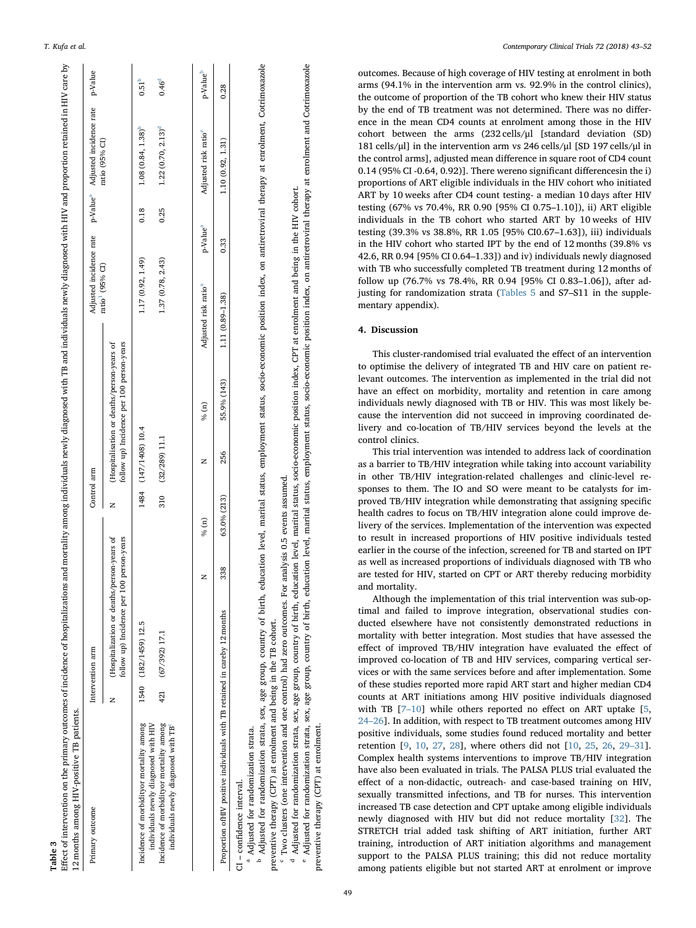<span id="page-6-5"></span><span id="page-6-4"></span><span id="page-6-3"></span><span id="page-6-2"></span><span id="page-6-1"></span><span id="page-6-0"></span>

| p-Value                                      |                                                                                      | 0.51                                     | $0.46^{d}$                                                                                                                 | p-Value <sup>b</sup>             | 0.28                                                                       |                                                                                                                                                                                                                                                                                                                                                                                          | outcomes. Because of high coverage of HIV testing at enrolment in both<br>arms (94.1% in the intervention arm vs. 92.9% in the control clinics),                                                                                                                                                                                                                                                                                                                                                                                                                                                                                                                  |
|----------------------------------------------|--------------------------------------------------------------------------------------|------------------------------------------|----------------------------------------------------------------------------------------------------------------------------|----------------------------------|----------------------------------------------------------------------------|------------------------------------------------------------------------------------------------------------------------------------------------------------------------------------------------------------------------------------------------------------------------------------------------------------------------------------------------------------------------------------------|-------------------------------------------------------------------------------------------------------------------------------------------------------------------------------------------------------------------------------------------------------------------------------------------------------------------------------------------------------------------------------------------------------------------------------------------------------------------------------------------------------------------------------------------------------------------------------------------------------------------------------------------------------------------|
| rate<br>Adjusted incidence<br>ratio (95% CI) |                                                                                      | 1.08(0.84, 1.38)                         | $1.22(0.70, 2.13)^d$                                                                                                       | Adjusted risk ratio <sup>e</sup> | 1.31)<br>1.10 (0.92,                                                       | education level, marital status, employment status, socio-economic position index, on antiretroviral therapy at enrolment, Cotrimoxazole<br>enrolment and Cotrimoxazole                                                                                                                                                                                                                  | the outcome of proportion of the TB cohort who knew their HIV status<br>by the end of TB treatment was not determined. There was no differ-<br>ence in the mean CD4 counts at enrolment among those in the HIV<br>cohort between the arms (232 cells/µl [standard deviation (SD)<br>181 cells/μl] in the intervention arm vs 246 cells/μl [SD 197 cells/μl in<br>the control arms], adjusted mean difference in square root of CD4 count<br>0.14 (95% CI-0.64, 0.92)]. There wereno significant differencesin the i)<br>proportions of ART eligible individuals in the HIV cohort who initiated                                                                   |
| $\mbox{p-Value}^{\mbox{a}}$                  |                                                                                      | 0.18                                     | 0.25                                                                                                                       |                                  |                                                                            |                                                                                                                                                                                                                                                                                                                                                                                          | ART by 10 weeks after CD4 count testing- a median 10 days after HIV<br>testing (67% vs 70.4%, RR 0.90 [95% CI 0.75-1.10]), ii) ART eligible<br>individuals in the TB cohort who started ART by 10 weeks of HIV                                                                                                                                                                                                                                                                                                                                                                                                                                                    |
| Adjusted incidence rate                      |                                                                                      | 1.17 (0.92, 1.49)                        | 1.37 (0.78, 2.43)                                                                                                          | p-Value <sup>a</sup>             | 0.33                                                                       |                                                                                                                                                                                                                                                                                                                                                                                          | testing (39.3% vs 38.8%, RR 1.05 [95% CI0.67-1.63]), iii) individuals<br>in the HIV cohort who started IPT by the end of 12 months (39.8% vs<br>42.6, RR 0.94 [95% CI 0.64-1.33]) and iv) individuals newly diagnosed<br>with TB who successfully completed TB treatment during 12 months of<br>follow up (76.7% vs 78.4%, RR 0.94 [95% CI 0.83-1.06]), after ad-                                                                                                                                                                                                                                                                                                 |
| ratio <sup>1</sup> (95% CI)                  |                                                                                      |                                          |                                                                                                                            | Adjusted risk ratio <sup>a</sup> | 1.11 (0.89-1.38)                                                           |                                                                                                                                                                                                                                                                                                                                                                                          | justing for randomization strata (Tables 5 and S7-S11 in the supple-<br>mentary appendix).                                                                                                                                                                                                                                                                                                                                                                                                                                                                                                                                                                        |
|                                              | ð                                                                                    |                                          |                                                                                                                            |                                  |                                                                            |                                                                                                                                                                                                                                                                                                                                                                                          | 4. Discussion                                                                                                                                                                                                                                                                                                                                                                                                                                                                                                                                                                                                                                                     |
|                                              | follow up) Incidence per 100 person-years<br>(Hospitalisation or deaths/person-years |                                          |                                                                                                                            |                                  | 55.9% (143)                                                                |                                                                                                                                                                                                                                                                                                                                                                                          | This cluster-randomised trial evaluated the effect of an intervention<br>to optimise the delivery of integrated TB and HIV care on patient re-<br>levant outcomes. The intervention as implemented in the trial did not<br>have an effect on morbidity, mortality and retention in care among<br>individuals newly diagnosed with TB or HIV. This was most likely be-                                                                                                                                                                                                                                                                                             |
|                                              |                                                                                      |                                          |                                                                                                                            | % (n)                            |                                                                            |                                                                                                                                                                                                                                                                                                                                                                                          | cause the intervention did not succeed in improving coordinated de-<br>livery and co-location of TB/HIV services beyond the levels at the<br>control clinics.                                                                                                                                                                                                                                                                                                                                                                                                                                                                                                     |
| Control arm                                  |                                                                                      | $(147/1408)$ 10.4                        | $(32/289)$ 11.1                                                                                                            | $\mathbf{z}$                     | 256                                                                        | assumed.                                                                                                                                                                                                                                                                                                                                                                                 | This trial intervention was intended to address lack of coordination<br>as a barrier to TB/HIV integration while taking into account variability<br>in other TB/HIV integration-related challenges and clinic-level re-<br>sponses to them. The IO and SO were meant to be catalysts for im-                                                                                                                                                                                                                                                                                                                                                                      |
|                                              | $\mathbbmss{Z}$                                                                      | 1484                                     | 310                                                                                                                        | % (n)                            | 63.0% (213)                                                                | events                                                                                                                                                                                                                                                                                                                                                                                   | proved TB/HIV integration while demonstrating that assigning specific<br>health cadres to focus on TB/HIV integration alone could improve de-<br>livery of the services. Implementation of the intervention was expected<br>to result in increased proportions of HIV positive individuals tested<br>earlier in the course of the infection, screened for TB and started on IPT                                                                                                                                                                                                                                                                                   |
|                                              | person-years of<br>person-years<br>$\frac{1}{2}$                                     |                                          |                                                                                                                            | $\simeq$                         | 338                                                                        |                                                                                                                                                                                                                                                                                                                                                                                          | as well as increased proportions of individuals diagnosed with TB who<br>are tested for HIV, started on CPT or ART thereby reducing morbidity<br>and mortality.<br>Although the implementation of this trial intervention was sub-op-                                                                                                                                                                                                                                                                                                                                                                                                                             |
|                                              | (Hospitalization or deaths,<br>follow up) Incidence per 1                            | $(182/1459)$ 12.                         | $(67/392)$ 17.1                                                                                                            |                                  |                                                                            | sex, age group, country of birth, education level, marital status, socio-economic position index, CPT at enrolment and being in the HIV cohort.<br>sex, age group, country of birth, education level, marital status, employment<br>age group, country of birth,<br>TB cohort.                                                                                                           | timal and failed to improve integration, observational studies con-<br>ducted elsewhere have not consistently demonstrated reductions in<br>mortality with better integration. Most studies that have assessed the<br>effect of improved TB/HIV integration have evaluated the effect of<br>improved co-location of TB and HIV services, comparing vertical ser-                                                                                                                                                                                                                                                                                                  |
| Intervention arm                             |                                                                                      |                                          |                                                                                                                            |                                  |                                                                            |                                                                                                                                                                                                                                                                                                                                                                                          | vices or with the same services before and after implementation. Some<br>of these studies reported more rapid ART start and higher median CD4                                                                                                                                                                                                                                                                                                                                                                                                                                                                                                                     |
|                                              | $\geq$                                                                               | 1540                                     | 421                                                                                                                        |                                  |                                                                            |                                                                                                                                                                                                                                                                                                                                                                                          | counts at ART initiations among HIV positive individuals diagnosed<br>with TB $[7-10]$ while others reported no effect on ART uptake $[5,$                                                                                                                                                                                                                                                                                                                                                                                                                                                                                                                        |
|                                              |                                                                                      | Incidence of morbidityor mortality among | individuals newly diagnosed with HIV<br>among<br>individuals newly diagnosed with TB<br>Incidence of morbidityor mortality |                                  | Proportion ofHIV positive individuals with TB retained in careby 12 months | Two clusters (one intervention and one control) had zero outcomes. For analysis 0.5<br>preventive therapy (CPT) at enrolment and being in the<br>Adjusted for randomization strata, sex,<br>Adjusted for randomization strata, sex,<br>strata,<br>preventive therapy (CPT) at enrolment<br>Adjusted for randomization strata.<br>Adjusted for randomization<br>CI - confidence interval. | 24–26]. In addition, with respect to TB treatment outcomes among HIV<br>positive individuals, some studies found reduced mortality and better<br>retention [9, 10, 27, 28], where others did not [10, 25, 26, 29–31].<br>Complex health systems interventions to improve TB/HIV integration<br>have also been evaluated in trials. The PALSA PLUS trial evaluated the<br>effect of a non-didactic, outreach- and case-based training on HIV.<br>sexually transmitted infections, and TB for nurses. This intervention<br>increased TB case detection and CPT uptake among eligible individuals<br>newly diagnosed with HIV but did not reduce mortality [32]. The |
| Primary outcome                              |                                                                                      |                                          |                                                                                                                            |                                  |                                                                            | م<br>$\overline{\mathtt{v}}$<br>$\circ$<br>$\bullet$                                                                                                                                                                                                                                                                                                                                     | STRETCH trial added task shifting of ART initiation, further ART<br>training, introduction of ART initiation algorithms and management<br>support to the PALSA PLUS training; this did not reduce mortality<br>among patients eligible but not started ART at enrolment or improve                                                                                                                                                                                                                                                                                                                                                                                |

T. Kufa et al. *Contemporary Clinical Trials 72 (2018) 43–52*

# 4. Discussion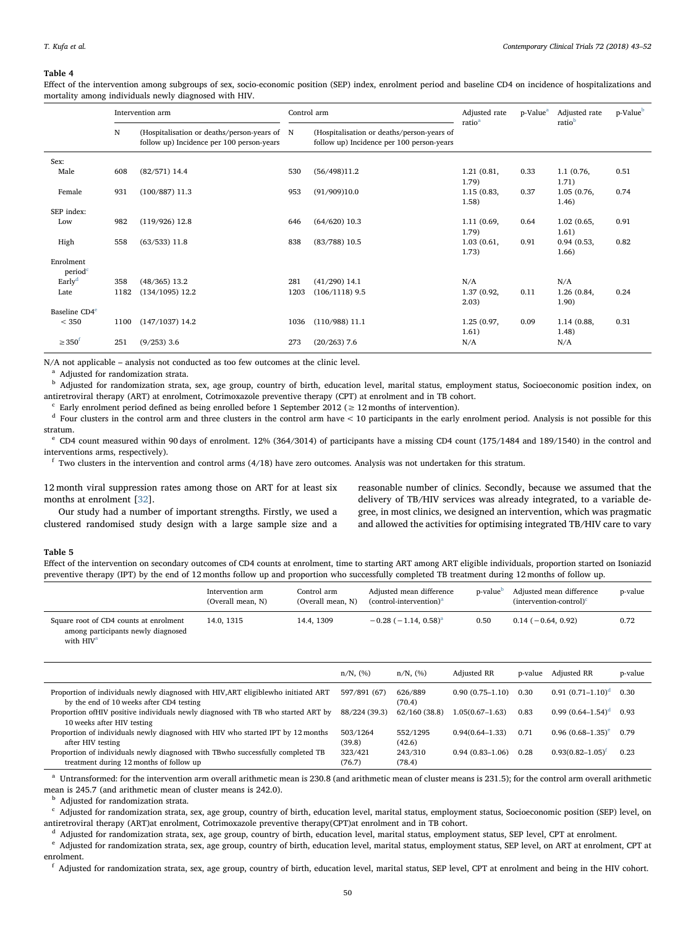#### <span id="page-7-0"></span>Table 4

Effect of the intervention among subgroups of sex, socio-economic position (SEP) index, enrolment period and baseline CD4 on incidence of hospitalizations and mortality among individuals newly diagnosed with HIV.

|                                  | Intervention arm |                                                                                              |      | Control arm                                                                             | Adjusted rate<br>ratio <sup>a</sup> | p-Value <sup>a</sup> | Adjusted rate<br>ratio <sup>b</sup> | p-Value <sup>b</sup> |
|----------------------------------|------------------|----------------------------------------------------------------------------------------------|------|-----------------------------------------------------------------------------------------|-------------------------------------|----------------------|-------------------------------------|----------------------|
|                                  | N                | (Hospitalisation or deaths/person-years of<br>N<br>follow up) Incidence per 100 person-years |      | (Hospitalisation or deaths/person-years of<br>follow up) Incidence per 100 person-years |                                     |                      |                                     |                      |
| Sex:                             |                  |                                                                                              |      |                                                                                         |                                     |                      |                                     |                      |
| Male                             | 608              | $(82/571)$ 14.4                                                                              | 530  | (56/498)11.2                                                                            | 1.21(0.81,                          | 0.33                 | 1.1 (0.76,                          | 0.51                 |
| Female                           | 931              | $(100/887)$ 11.3                                                                             | 953  | (91/909)10.0                                                                            | 1.79)<br>1.15(0.83,<br>1.58)        | 0.37                 | 1.71)<br>1.05 (0.76,<br>1.46)       | 0.74                 |
| SEP index:                       |                  |                                                                                              |      |                                                                                         |                                     |                      |                                     |                      |
| Low                              | 982              | $(119/926)$ 12.8                                                                             | 646  | $(64/620)$ 10.3                                                                         | 1.11 (0.69,<br>1.79)                | 0.64                 | 1.02(0.65,<br>1.61)                 | 0.91                 |
| High                             | 558              | $(63/533)$ 11.8                                                                              |      | $(83/788)$ 10.5                                                                         | 1.03(0.61,<br>1.73)                 | 0.91                 | 0.94(0.53,<br>1.66)                 | 0.82                 |
| Enrolment<br>period <sup>c</sup> |                  |                                                                                              |      |                                                                                         |                                     |                      |                                     |                      |
| Early <sup>d</sup>               | 358              | $(48/365)$ 13.2                                                                              | 281  | $(41/290)$ 14.1                                                                         | N/A                                 |                      | N/A                                 |                      |
| Late                             | 1182             | $(134/1095)$ 12.2                                                                            | 1203 | $(106/1118)$ 9.5                                                                        | 1.37 (0.92,<br>2.03)                | 0.11                 | 1.26 (0.84,<br>1.90)                | 0.24                 |
| Baseline CD4 <sup>e</sup>        |                  |                                                                                              |      |                                                                                         |                                     |                      |                                     |                      |
| < 350                            | 1100             | $(147/1037)$ 14.2                                                                            | 1036 | $(110/988)$ 11.1                                                                        | 1.25 (0.97,<br>1.61)                | 0.09                 | 1.14 (0.88,<br>1.48)                | 0.31                 |
| $\geq$ 350 <sup>f</sup>          | 251              | $(9/253)$ 3.6                                                                                | 273  | $(20/263)$ 7.6                                                                          | N/A                                 |                      | N/A                                 |                      |

N/A not applicable – analysis not conducted as too few outcomes at the clinic level.

<span id="page-7-3"></span><sup>a</sup> Adjusted for randomization strata.

<span id="page-7-4"></span><sup>b</sup> Adjusted for randomization strata, sex, age group, country of birth, education level, marital status, employment status, Socioeconomic position index, on antiretroviral therapy (ART) at enrolment, Cotrimoxazole preventive therapy (CPT) at enrolment and in TB cohort.

<span id="page-7-5"></span><sup>c</sup> Early enrolment period defined as being enrolled before 1 September 2012 ( $\geq$  12 months of intervention).

<span id="page-7-6"></span> $d$  Four clusters in the control arm and three clusters in the control arm have < 10 participants in the early enrolment period. Analysis is not possible for this stratum.

<span id="page-7-7"></span><sup>e</sup> CD4 count measured within 90 days of enrolment. 12% (364/3014) of participants have a missing CD4 count (175/1484 and 189/1540) in the control and interventions arms, respectively).

<span id="page-7-2"></span> $<sup>f</sup>$  Two clusters in the intervention and control arms (4/18) have zero outcomes. Analysis was not undertaken for this stratum.</sup>

12 month viral suppression rates among those on ART for at least six months at enrolment [[32\]](#page-9-21).

Our study had a number of important strengths. Firstly, we used a clustered randomised study design with a large sample size and a reasonable number of clinics. Secondly, because we assumed that the delivery of TB/HIV services was already integrated, to a variable degree, in most clinics, we designed an intervention, which was pragmatic and allowed the activities for optimising integrated TB/HIV care to vary

# <span id="page-7-1"></span>Table 5

Effect of the intervention on secondary outcomes of CD4 counts at enrolment, time to starting ART among ART eligible individuals, proportion started on Isoniazid preventive therapy (IPT) by the end of 12 months follow up and proportion who successfully completed TB treatment during 12 months of follow up.

|                                                                                                                               | Intervention arm<br>(Overall mean, N) | Control arm<br>(Overall mean, N) | Adjusted mean difference<br>$(control-intervention)a$ | p-value <sup>b</sup>                      | Adjusted mean difference<br>$(intervention-control)^c$ |                       | p-value     |         |
|-------------------------------------------------------------------------------------------------------------------------------|---------------------------------------|----------------------------------|-------------------------------------------------------|-------------------------------------------|--------------------------------------------------------|-----------------------|-------------|---------|
| Square root of CD4 counts at enrolment<br>among participants newly diagnosed<br>with HIV <sup>a</sup>                         | 14.0, 1315                            | 14.4, 1309                       |                                                       | $-0.28$ ( $-1.14$ , $0.58$ ) <sup>a</sup> | 0.50                                                   | $0.14(-0.64, 0.92)$   |             | 0.72    |
|                                                                                                                               |                                       |                                  | $n/N$ , $(\%)$                                        | $n/N$ , $(\%)$                            | Adjusted RR                                            | p-value               | Adjusted RR | p-value |
| Proportion of individuals newly diagnosed with HIV, ART eligiblewho initiated ART<br>by the end of 10 weeks after CD4 testing | 597/891 (67)                          | 626/889<br>(70.4)                | $0.90(0.75-1.10)$                                     | 0.30                                      | $0.91(0.71 - 1.10)^d$                                  | 0.30                  |             |         |
| Proportion of HIV positive individuals newly diagnosed with TB who started ART by<br>10 weeks after HIV testing               |                                       | 88/224 (39.3)                    | 62/160(38.8)                                          | $1.05(0.67 - 1.63)$                       | 0.83                                                   | $0.99(0.64 - 1.54)^d$ | 0.93        |         |
| Proportion of individuals newly diagnosed with HIV who started IPT by 12 months<br>after HIV testing                          | 503/1264<br>(39.8)                    | 552/1295<br>(42.6)               | $0.94(0.64 - 1.33)$                                   | 0.71                                      | $0.96(0.68 - 1.35)^e$                                  | 0.79                  |             |         |
| Proportion of individuals newly diagnosed with TBwho successfully completed TB<br>treatment during 12 months of follow up     | 323/421<br>(76.7)                     | 243/310<br>(78.4)                | $0.94(0.83 - 1.06)$                                   | 0.28                                      | $0.93(0.82 - 1.05)^T$                                  | 0.23                  |             |         |

<span id="page-7-8"></span><sup>a</sup> Untransformed: for the intervention arm overall arithmetic mean is 230.8 (and arithmetic mean of cluster means is 231.5); for the control arm overall arithmetic mean is 245.7 (and arithmetic mean of cluster means is 242.0).

<span id="page-7-9"></span>**b** Adjusted for randomization strata.

<span id="page-7-10"></span><sup>c</sup> Adjusted for randomization strata, sex, age group, country of birth, education level, marital status, employment status, Socioeconomic position (SEP) level, on antiretroviral therapy (ART)at enrolment, Cotrimoxazole preventive therapy(CPT)at enrolment and in TB cohort.

<span id="page-7-11"></span><sup>d</sup> Adjusted for randomization strata, sex, age group, country of birth, education level, marital status, employment status, SEP level, CPT at enrolment.

<span id="page-7-12"></span><sup>e</sup> Adjusted for randomization strata, sex, age group, country of birth, education level, marital status, employment status, SEP level, on ART at enrolment, CPT at enrolment.

<span id="page-7-13"></span><sup>f</sup> Adjusted for randomization strata, sex, age group, country of birth, education level, marital status, SEP level, CPT at enrolment and being in the HIV cohort.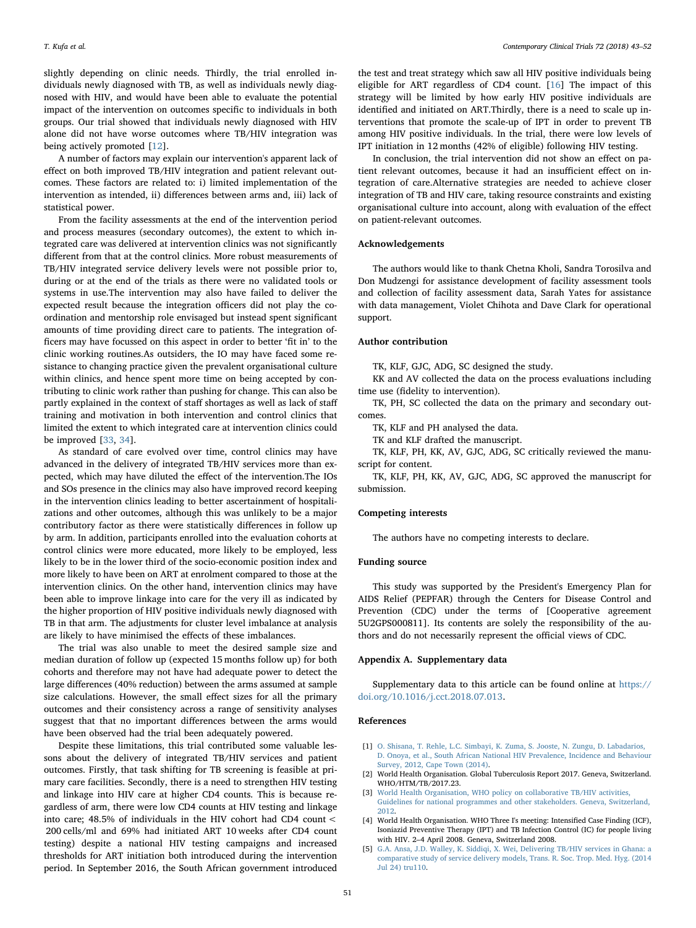slightly depending on clinic needs. Thirdly, the trial enrolled individuals newly diagnosed with TB, as well as individuals newly diagnosed with HIV, and would have been able to evaluate the potential impact of the intervention on outcomes specific to individuals in both groups. Our trial showed that individuals newly diagnosed with HIV alone did not have worse outcomes where TB/HIV integration was being actively promoted [\[12](#page-9-22)].

A number of factors may explain our intervention's apparent lack of effect on both improved TB/HIV integration and patient relevant outcomes. These factors are related to: i) limited implementation of the intervention as intended, ii) differences between arms and, iii) lack of statistical power.

From the facility assessments at the end of the intervention period and process measures (secondary outcomes), the extent to which integrated care was delivered at intervention clinics was not significantly different from that at the control clinics. More robust measurements of TB/HIV integrated service delivery levels were not possible prior to, during or at the end of the trials as there were no validated tools or systems in use.The intervention may also have failed to deliver the expected result because the integration officers did not play the coordination and mentorship role envisaged but instead spent significant amounts of time providing direct care to patients. The integration officers may have focussed on this aspect in order to better 'fit in' to the clinic working routines.As outsiders, the IO may have faced some resistance to changing practice given the prevalent organisational culture within clinics, and hence spent more time on being accepted by contributing to clinic work rather than pushing for change. This can also be partly explained in the context of staff shortages as well as lack of staff training and motivation in both intervention and control clinics that limited the extent to which integrated care at intervention clinics could be improved [\[33](#page-9-23), [34](#page-9-24)].

As standard of care evolved over time, control clinics may have advanced in the delivery of integrated TB/HIV services more than expected, which may have diluted the effect of the intervention.The IOs and SOs presence in the clinics may also have improved record keeping in the intervention clinics leading to better ascertainment of hospitalizations and other outcomes, although this was unlikely to be a major contributory factor as there were statistically differences in follow up by arm. In addition, participants enrolled into the evaluation cohorts at control clinics were more educated, more likely to be employed, less likely to be in the lower third of the socio-economic position index and more likely to have been on ART at enrolment compared to those at the intervention clinics. On the other hand, intervention clinics may have been able to improve linkage into care for the very ill as indicated by the higher proportion of HIV positive individuals newly diagnosed with TB in that arm. The adjustments for cluster level imbalance at analysis are likely to have minimised the effects of these imbalances.

The trial was also unable to meet the desired sample size and median duration of follow up (expected 15 months follow up) for both cohorts and therefore may not have had adequate power to detect the large differences (40% reduction) between the arms assumed at sample size calculations. However, the small effect sizes for all the primary outcomes and their consistency across a range of sensitivity analyses suggest that that no important differences between the arms would have been observed had the trial been adequately powered.

Despite these limitations, this trial contributed some valuable lessons about the delivery of integrated TB/HIV services and patient outcomes. Firstly, that task shifting for TB screening is feasible at primary care facilities. Secondly, there is a need to strengthen HIV testing and linkage into HIV care at higher CD4 counts. This is because regardless of arm, there were low CD4 counts at HIV testing and linkage into care; 48.5% of individuals in the HIV cohort had CD4 count < 200 cells/ml and 69% had initiated ART 10 weeks after CD4 count testing) despite a national HIV testing campaigns and increased thresholds for ART initiation both introduced during the intervention period. In September 2016, the South African government introduced

the test and treat strategy which saw all HIV positive individuals being eligible for ART regardless of CD4 count. [[16\]](#page-9-5) The impact of this strategy will be limited by how early HIV positive individuals are identified and initiated on ART.Thirdly, there is a need to scale up interventions that promote the scale-up of IPT in order to prevent TB among HIV positive individuals. In the trial, there were low levels of IPT initiation in 12 months (42% of eligible) following HIV testing.

In conclusion, the trial intervention did not show an effect on patient relevant outcomes, because it had an insufficient effect on integration of care.Alternative strategies are needed to achieve closer integration of TB and HIV care, taking resource constraints and existing organisational culture into account, along with evaluation of the effect on patient-relevant outcomes.

# Acknowledgements

The authors would like to thank Chetna Kholi, Sandra Torosilva and Don Mudzengi for assistance development of facility assessment tools and collection of facility assessment data, Sarah Yates for assistance with data management, Violet Chihota and Dave Clark for operational support.

# Author contribution

TK, KLF, GJC, ADG, SC designed the study.

KK and AV collected the data on the process evaluations including time use (fidelity to intervention).

TK, PH, SC collected the data on the primary and secondary outcomes.

TK, KLF and PH analysed the data.

TK and KLF drafted the manuscript.

TK, KLF, PH, KK, AV, GJC, ADG, SC critically reviewed the manuscript for content.

TK, KLF, PH, KK, AV, GJC, ADG, SC approved the manuscript for submission.

## Competing interests

The authors have no competing interests to declare.

## Funding source

This study was supported by the President's Emergency Plan for AIDS Relief (PEPFAR) through the Centers for Disease Control and Prevention (CDC) under the terms of [Cooperative agreement 5U2GPS000811]. Its contents are solely the responsibility of the authors and do not necessarily represent the official views of CDC.

## Appendix A. Supplementary data

Supplementary data to this article can be found online at [https://](https://doi.org/10.1016/j.cct.2018.07.013) [doi.org/10.1016/j.cct.2018.07.013](https://doi.org/10.1016/j.cct.2018.07.013).

# References

- <span id="page-8-0"></span>[1] [O. Shisana, T. Rehle, L.C. Simbayi, K. Zuma, S. Jooste, N. Zungu, D. Labadarios,](http://refhub.elsevier.com/S1551-7144(17)30772-3/rf0005) [D. Onoya, et al., South African National HIV Prevalence, Incidence and Behaviour](http://refhub.elsevier.com/S1551-7144(17)30772-3/rf0005) [Survey, 2012, Cape Town \(2014\).](http://refhub.elsevier.com/S1551-7144(17)30772-3/rf0005)
- <span id="page-8-1"></span>[2] World Health Organisation. Global Tuberculosis Report 2017. Geneva, Switzerland. WHO/HTM/TB/2017.23.
- <span id="page-8-2"></span>[3] [World Health Organisation, WHO policy on collaborative TB/HIV activities,](http://refhub.elsevier.com/S1551-7144(17)30772-3/rf0010) [Guidelines for national programmes and other stakeholders. Geneva, Switzerland,](http://refhub.elsevier.com/S1551-7144(17)30772-3/rf0010) [2012.](http://refhub.elsevier.com/S1551-7144(17)30772-3/rf0010)
- <span id="page-8-3"></span>[4] World Health Organisation. WHO Three I's meeting: Intensified Case Finding (ICF), Isoniazid Preventive Therapy (IPT) and TB Infection Control (IC) for people living with HIV. 2–4 April 2008. Geneva, Switzerland 2008.
- <span id="page-8-4"></span>[5] [G.A. Ansa, J.D. Walley, K. Siddiqi, X. Wei, Delivering TB/HIV services in Ghana: a](http://refhub.elsevier.com/S1551-7144(17)30772-3/rf0015) [comparative study of service delivery models, Trans. R. Soc. Trop. Med. Hyg. \(2014](http://refhub.elsevier.com/S1551-7144(17)30772-3/rf0015) [Jul 24\) tru110.](http://refhub.elsevier.com/S1551-7144(17)30772-3/rf0015)